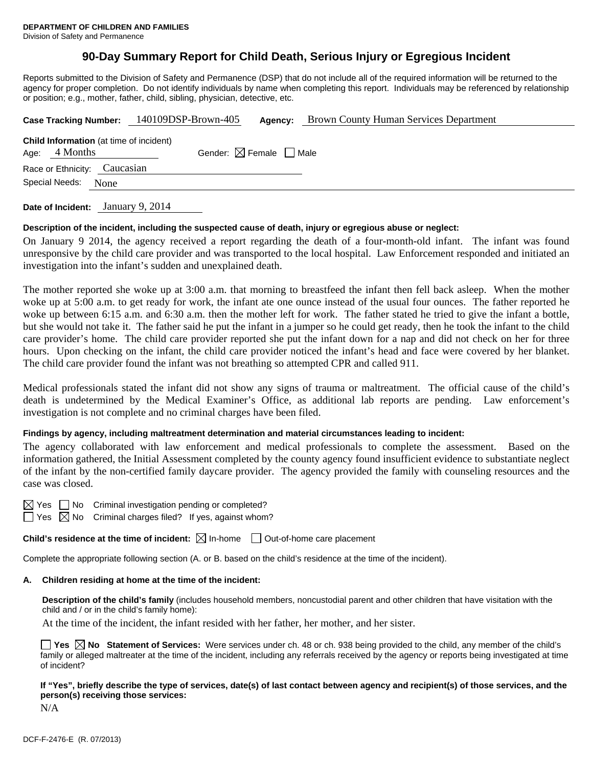# **90-Day Summary Report for Child Death, Serious Injury or Egregious Incident**

Reports submitted to the Division of Safety and Permanence (DSP) that do not include all of the required information will be returned to the agency for proper completion. Do not identify individuals by name when completing this report. Individuals may be referenced by relationship or position; e.g., mother, father, child, sibling, physician, detective, etc.

|                        |                              |  |                                                | Case Tracking Number: 140109DSP-Brown-405 | Agency:                                | <b>Brown County Human Services Department</b> |
|------------------------|------------------------------|--|------------------------------------------------|-------------------------------------------|----------------------------------------|-----------------------------------------------|
|                        | Age: $4$ Months              |  | <b>Child Information</b> (at time of incident) |                                           | Gender: $\boxtimes$ Female $\Box$ Male |                                               |
|                        | Race or Ethnicity: Caucasian |  |                                                |                                           |                                        |                                               |
| Special Needs:<br>None |                              |  |                                                |                                           |                                        |                                               |
|                        |                              |  |                                                |                                           |                                        |                                               |

**Date of Incident:** January 9, 2014

#### **Description of the incident, including the suspected cause of death, injury or egregious abuse or neglect:**

On January 9 2014, the agency received a report regarding the death of a four-month-old infant. The infant was found unresponsive by the child care provider and was transported to the local hospital. Law Enforcement responded and initiated an investigation into the infant's sudden and unexplained death.

The mother reported she woke up at 3:00 a.m. that morning to breastfeed the infant then fell back asleep. When the mother woke up at 5:00 a.m. to get ready for work, the infant ate one ounce instead of the usual four ounces. The father reported he woke up between 6:15 a.m. and 6:30 a.m. then the mother left for work. The father stated he tried to give the infant a bottle, but she would not take it. The father said he put the infant in a jumper so he could get ready, then he took the infant to the child care provider's home. The child care provider reported she put the infant down for a nap and did not check on her for three hours. Upon checking on the infant, the child care provider noticed the infant's head and face were covered by her blanket. The child care provider found the infant was not breathing so attempted CPR and called 911.

Medical professionals stated the infant did not show any signs of trauma or maltreatment. The official cause of the child's death is undetermined by the Medical Examiner's Office, as additional lab reports are pending. Law enforcement's investigation is not complete and no criminal charges have been filed.

# **Findings by agency, including maltreatment determination and material circumstances leading to incident:**

The agency collaborated with law enforcement and medical professionals to complete the assessment. Based on the information gathered, the Initial Assessment completed by the county agency found insufficient evidence to substantiate neglect of the infant by the non-certified family daycare provider. The agency provided the family with counseling resources and the case was closed.

 $\boxtimes$  Yes  $\Box$  No Criminal investigation pending or completed?  $\Box$  Yes  $\boxtimes$  No Criminal charges filed? If yes, against whom?

**Child's residence at the time of incident:**  $\boxtimes$  In-home  $\Box$  Out-of-home care placement

Complete the appropriate following section (A. or B. based on the child's residence at the time of the incident).

#### **A. Children residing at home at the time of the incident:**

**Description of the child's family** (includes household members, noncustodial parent and other children that have visitation with the child and / or in the child's family home):

At the time of the incident, the infant resided with her father, her mother, and her sister.

|              |  |  |  |  |  | $\Box$ Yes $\boxtimes$ No Statement of Services: Were services under ch. 48 or ch. 938 being provided to the child, any member of the child's  |
|--------------|--|--|--|--|--|------------------------------------------------------------------------------------------------------------------------------------------------|
|              |  |  |  |  |  | family or alleged maltreater at the time of the incident, including any referrals received by the agency or reports being investigated at time |
| of incident? |  |  |  |  |  |                                                                                                                                                |

**If "Yes", briefly describe the type of services, date(s) of last contact between agency and recipient(s) of those services, and the person(s) receiving those services:** 

N/A